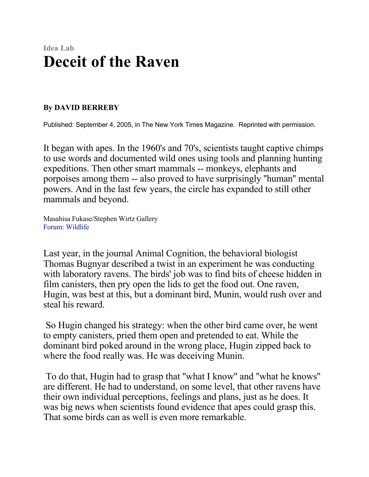## **Idea Lab Deceit of the Raven**

## **By DAVID BERREBY**

Published: September 4, 2005, in The New York Times Magazine. Reprinted with permission.

It began with apes. In the 1960's and 70's, scientists taught captive chimps to use words and documented wild ones using tools and planning hunting expeditions. Then other smart mammals -- monkeys, elephants and porpoises among them -- also proved to have surprisingly ''human'' mental powers. And in the last few years, the circle has expanded to still other mammals and beyond.

Masahisa Fukase/Stephen Wirtz Gallery Forum: Wildlife

Last year, in the journal Animal Cognition, the behavioral biologist Thomas Bugnyar described a twist in an experiment he was conducting with laboratory ravens. The birds' job was to find bits of cheese hidden in film canisters, then pry open the lids to get the food out. One raven, Hugin, was best at this, but a dominant bird, Munin, would rush over and steal his reward.

 So Hugin changed his strategy: when the other bird came over, he went to empty canisters, pried them open and pretended to eat. While the dominant bird poked around in the wrong place, Hugin zipped back to where the food really was. He was deceiving Munin.

 To do that, Hugin had to grasp that ''what I know'' and ''what he knows'' are different. He had to understand, on some level, that other ravens have their own individual perceptions, feelings and plans, just as he does. It was big news when scientists found evidence that apes could grasp this. That some birds can as well is even more remarkable.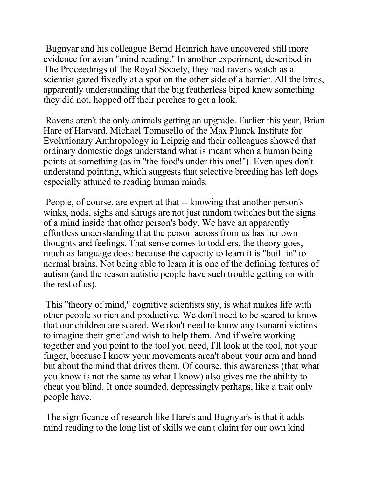Bugnyar and his colleague Bernd Heinrich have uncovered still more evidence for avian ''mind reading.'' In another experiment, described in The Proceedings of the Royal Society, they had ravens watch as a scientist gazed fixedly at a spot on the other side of a barrier. All the birds, apparently understanding that the big featherless biped knew something they did not, hopped off their perches to get a look.

 Ravens aren't the only animals getting an upgrade. Earlier this year, Brian Hare of Harvard, Michael Tomasello of the Max Planck Institute for Evolutionary Anthropology in Leipzig and their colleagues showed that ordinary domestic dogs understand what is meant when a human being points at something (as in ''the food's under this one!''). Even apes don't understand pointing, which suggests that selective breeding has left dogs especially attuned to reading human minds.

 People, of course, are expert at that -- knowing that another person's winks, nods, sighs and shrugs are not just random twitches but the signs of a mind inside that other person's body. We have an apparently effortless understanding that the person across from us has her own thoughts and feelings. That sense comes to toddlers, the theory goes, much as language does: because the capacity to learn it is ''built in'' to normal brains. Not being able to learn it is one of the defining features of autism (and the reason autistic people have such trouble getting on with the rest of us).

 This ''theory of mind,'' cognitive scientists say, is what makes life with other people so rich and productive. We don't need to be scared to know that our children are scared. We don't need to know any tsunami victims to imagine their grief and wish to help them. And if we're working together and you point to the tool you need, I'll look at the tool, not your finger, because I know your movements aren't about your arm and hand but about the mind that drives them. Of course, this awareness (that what you know is not the same as what I know) also gives me the ability to cheat you blind. It once sounded, depressingly perhaps, like a trait only people have.

 The significance of research like Hare's and Bugnyar's is that it adds mind reading to the long list of skills we can't claim for our own kind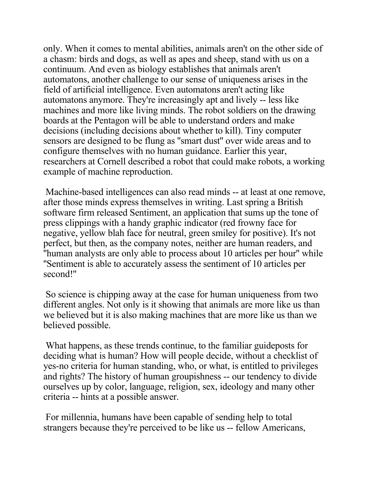only. When it comes to mental abilities, animals aren't on the other side of a chasm: birds and dogs, as well as apes and sheep, stand with us on a continuum. And even as biology establishes that animals aren't automatons, another challenge to our sense of uniqueness arises in the field of artificial intelligence. Even automatons aren't acting like automatons anymore. They're increasingly apt and lively -- less like machines and more like living minds. The robot soldiers on the drawing boards at the Pentagon will be able to understand orders and make decisions (including decisions about whether to kill). Tiny computer sensors are designed to be flung as ''smart dust'' over wide areas and to configure themselves with no human guidance. Earlier this year, researchers at Cornell described a robot that could make robots, a working example of machine reproduction.

 Machine-based intelligences can also read minds -- at least at one remove, after those minds express themselves in writing. Last spring a British software firm released Sentiment, an application that sums up the tone of press clippings with a handy graphic indicator (red frowny face for negative, yellow blah face for neutral, green smiley for positive). It's not perfect, but then, as the company notes, neither are human readers, and ''human analysts are only able to process about 10 articles per hour'' while ''Sentiment is able to accurately assess the sentiment of 10 articles per second!''

 So science is chipping away at the case for human uniqueness from two different angles. Not only is it showing that animals are more like us than we believed but it is also making machines that are more like us than we believed possible.

 What happens, as these trends continue, to the familiar guideposts for deciding what is human? How will people decide, without a checklist of yes-no criteria for human standing, who, or what, is entitled to privileges and rights? The history of human groupishness -- our tendency to divide ourselves up by color, language, religion, sex, ideology and many other criteria -- hints at a possible answer.

 For millennia, humans have been capable of sending help to total strangers because they're perceived to be like us -- fellow Americans,